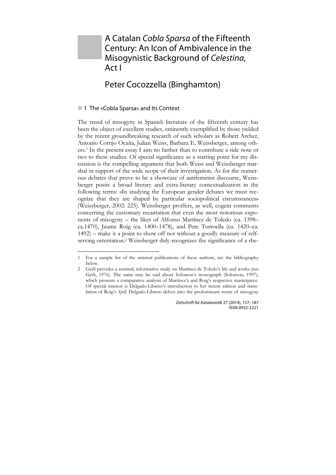# A Catalan *Cobla Sparsa* of the Fifteenth Century: An Icon of Ambivalence in the Misogynistic Background of *Celestina*, Act I

# Peter Cocozzella (Binghamton)

# ■ 1 The «Cobla Sparsa» and Its Context

1

The trend of misogyny in Spanish literature of the fifteenth century has been the object of excellent studies, eminently exemplified by those yielded by the recent groundbreaking research of such scholars as Robert Archer, Antonio Cortijo Ocaña, Julian Weiss, Barbara E. Weissberger, among others.1 In the present essay I aim no farther than to contribute a side note or two to these studies. Of special significance as a starting point for my discussion is the compelling argument that both Weiss and Weissberger marshal in support of the wide scope of their investigation. As for the numerous debates that prove to be a showcase of antifeminist discourse, Weissberger posits a broad literary and extra-literary contextualization in the following terms: «In studying the European gender debates we must recognize that they are shaped by particular sociopolitical circumstances» (Weissberger, 2002: 225). Weissberger proffers, as well, cogent comments concerning the customary recantation that even the most notorious exponents of misogyny – the likes of Alfonso Martínez de Toledo (ca. 1398– ca.1470), Jaume Roig (ca. 1400–1478), and Pere Torroella (ca. 1420–ca. 1492) – make it a point to show off not without a goodly measure of selfserving ostentation.2 Weissberger duly recognizes the significance of a rhe-

<sup>1</sup> For a sample list of the seminal publications of these authors, see the bibliography below.

<sup>2</sup> Gerli provides a seminal, informative study on Martínez de Toledo's life and works (see Gerli, 1976). The same may be said about Solomon's monograph (Solomon, 1997), which presents a comparative analysis of Martínez's and Roig's respective masterpiece. Of special interest is Delgado-Librero's introduction to her recent edition and translation of Roig's *Spill*. Delgado-Librero delves into the predominant strain of misogyny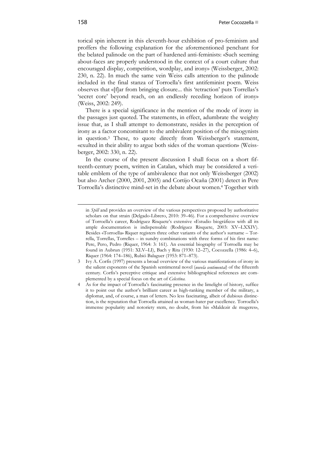torical spin inherent in this eleventh-hour exhibition of pro-feminism and proffers the following explanation for the aforementioned penchant for the belated palinode on the part of hardened anti-feminists: «Such seeming about-faces are properly understood in the context of a court culture that encouraged display, competition, wordplay, and irony» (Weissberger, 2002: 230, n. 22). In much the same vein Weiss calls attention to the palinode included in the final stanza of Torroella's first antifeminist poem. Weiss observes that «[f]ar from bringing closure... this 'retraction' puts Torrellas's 'secret core' beyond reach, on an endlessly receding horizon of irony» (Weiss, 2002: 249).

There is a special significance in the mention of the mode of irony in the passages just quoted. The statements, in effect, adumbrate the weighty issue that, as I shall attempt to demonstrate, resides in the perception of irony as a factor concomitant to the ambivalent position of the misogynists in question.3 These, to quote directly from Weissberger's statement, «exulted in their ability to argue both sides of the woman question» (Weissberger, 2002: 330, n. 22).

In the course of the present discussion I shall focus on a short fifteenth-century poem, written in Catalan, which may be considered a veritable emblem of the type of ambivalence that not only Weissberger (2002) but also Archer (2000, 2001, 2005) and Cortijo Ocaña (2001) detect in Pere Torroella's distinctive mind-set in the debate about women.4 Together with

in *Spill* and provides an overview of the various perspectives proposed by authoritative scholars on that strain (Delgado-Librero, 2010: 39–46). For a comprehensive overview of Torroella's career, Rodríguez Risquete's extensive «Estudio biográfico» with all its ample documentation is indispensable (Rodríguez Risquete, 2003: XV–LXXIV). Besides «Torroella» Riquer registers three other variants of the author's surname – Torrella, Torrellas, Torrelles – in sundry combinations with three forms of his first name: Pere, Pero, Pedro (Riquer, 1964: 3: 161). An essential biography of Torroella may be found in Aubrun (1951: XLV–LI), Bach y Rita (1930: 12–27), Cocozzella (1986: 4–6), Riquer (1964: 174–186), Rubió Balaguer (1953: 871–873).

<sup>3</sup> Ivy A. Corfis (1997) presents a broad overview of the various manifestations of irony in the salient exponents of the Spanish sentimental novel (*novela sentimental*) of the fifteenth century. Corfis's perceptive critique and extensive bibliographical references are complemented by a special focus on the art of *Celestina*.

<sup>4</sup> As for the impact of Torroella's fascinating presence in the limelight of history, suffice it to point out the author's brilliant career as high-ranking member of the military, a diplomat, and, of course, a man of letters. No less fascinating, albeit of dubious distinction, is the reputation that Torroella attained as woman-hater par excellence. Torroella's immense popularity and notoriety stem, no doubt, from his «Maldezir de mugeres»,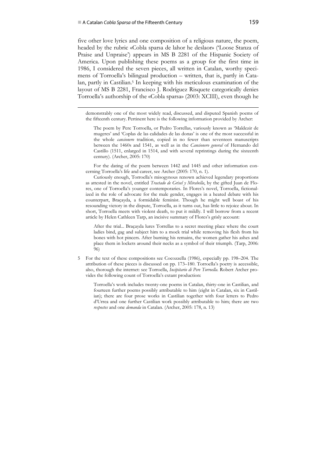five other love lyrics and one composition of a religious nature, the poem, headed by the rubric «Cobla sparsa de lahor he deslaor» ('Loose Stanza of Praise and Unpraise') appears in MS B 2281 of the Hispanic Society of America. Upon publishing these poems as a group for the first time in 1986, I considered the seven pieces, all written in Catalan, worthy specimens of Torroella's bilingual production – written, that is, partly in Catalan, partly in Castilian.<sup>5</sup> In keeping with his meticulous examination of the layout of MS B 2281, Francisco J. Rodríguez Risquete categorically denies Torroella's authorship of the «Cobla sparsa» (2003: XCIII), even though he

 demonstrably one of the most widely read, discussed, and disputed Spanish poems of the fifteenth century. Pertinent here is the following information provided by Archer:

The poem by Pere Torroella, or Pedro Torrellas, variously known as 'Maldezir de mugeres' and 'Coplas de las calidades de las donas' is one of the most successful in the whole *cancionero* tradition, copied in no fewer than seventeen manuscripts between the 1460s and 1541, as well as in the *Cancionero general* of Hernando del Castillo (1511, enlarged in 1514, and with several reprintings during the sixteenth century). (Archer, 2005: 170)

For the dating of the poem between 1442 and 1445 and other information concerning Torroella's life and career, see Archer (2005: 170, n. 1).

Curiously enough, Torroella's misogynous renown achieved legendary proportions as attested in the novel, entitled *Tractado de Grisel y Mirabella*, by the gifted Juan de Flores, one of Torroella's younger contemporaries. In Flores's novel, Torroella, fictionalized in the role of advocate for the male gender, engages in a heated debate with his counterpart, Braçayda, a formidable feminist. Though he might well boast of his resounding victory in the dispute, Torroella, as it turns out, has little to rejoice about. In short, Torroella meets with violent death, to put it mildly. I will borrow from a recent article by Helen Cathleen Tarp, an incisive summary of Flores's grisly account:

After the trial... Braçayda lures Torrellas to a secret meeting place where the court ladies bind, gag and subject him to a mock trial while removing his flesh from his bones with hot pincers. After burning his remains, the women gather his ashes and place them in lockets around their necks as a symbol of their triumph. (Tarp, 2006: 96)

5 For the text of these compositions see Cocozzella (1986), especially pp. 198–204. The attribution of these pieces is discussed on pp. 173–180. Torroella's poetry is accessible, also, thorough the internet: see Torroella, *Incipitario di Pere Torroella*. Robert Archer provides the following count of Torroella's extant production:

Torroella's work includes twenty-one poems in Catalan, thirty-one in Castilian, and fourteen further poems possibly attributable to him (eight in Catalan, six in Castilian); there are four prose works in Castilian together with four letters to Pedro d'Urrea and one further Castilian work possibly attributable to him; there are two *respostes* and one *demanda* in Catalan. (Archer, 2005: 178, n. 13)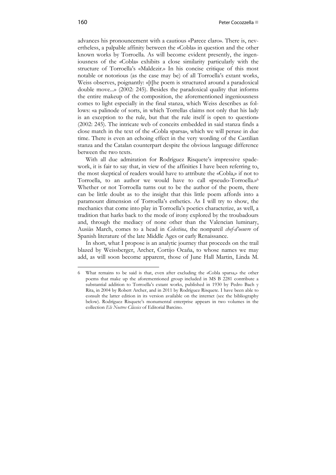advances his pronouncement with a cautious «Parece claro». There is, nevertheless, a palpable affinity between the «Cobla» in question and the other known works by Torroella. As will become evident presently, the ingeniousness of the «Cobla» exhibits a close similarity particularly with the structure of Torroella's «Maldezir.» In his concise critique of this most notable or notorious (as the case may be) of all Torroella's extant works, Weiss observes, poignantly: «[t]he poem is structured around a paradoxical double move...» (2002: 245). Besides the paradoxical quality that informs the entire makeup of the composition, the aforementioned ingeniousness comes to light especially in the final stanza, which Weiss describes as follows: «a palinode of sorts, in which Torrellas claims not only that his lady is an exception to the rule, but that the rule itself is open to question» (2002: 245). The intricate web of conceits embedded in said stanza finds a close match in the text of the «Cobla sparsa», which we will peruse in due time. There is even an echoing effect in the very wording of the Castilian stanza and the Catalan counterpart despite the obvious language difference between the two texts.

With all due admiration for Rodríguez Risquete's impressive spadework, it is fair to say that, in view of the affinities I have been referring to, the most skeptical of readers would have to attribute the «Cobla,» if not to Torroella, to an author we would have to call «pseudo-Torroella.»6 Whether or not Torroella turns out to be the author of the poem, there can be little doubt as to the insight that this little poem affords into a paramount dimension of Torroella's esthetics. As I will try to show, the mechanics that come into play in Torroella's poetics characterize, as well, a tradition that harks back to the mode of irony explored by the troubadours and, through the mediacy of none other than the Valencian luminary, Ausiàs March, comes to a head in *Celestina*, the nonpareil *chef-d'oeuvre* of Spanish literature of the late Middle Ages or early Renaissance.

In short, what I propose is an analytic journey that proceeds on the trail blazed by Weissberger, Archer, Cortijo Ocaña, to whose names we may add, as will soon become apparent, those of June Hall Martin, Linda M.

1

<sup>6</sup> What remains to be said is that, even after excluding the «Cobla sparsa,» the other poems that make up the aforementioned group included in MS B 2281 contribute a substantial addition to Torroella's extant works, published in 1930 by Pedro Bach y Rita, in 2004 by Robert Archer, and in 2011 by Rodríguez Risquete. I have been able to consult the latter edition in its version available on the internet (see the bibliography below). Rodríguez Risquete's monumental enterprise appears in two volumes in the collection *Els Nostres Clàssics* of Editorial Barcino.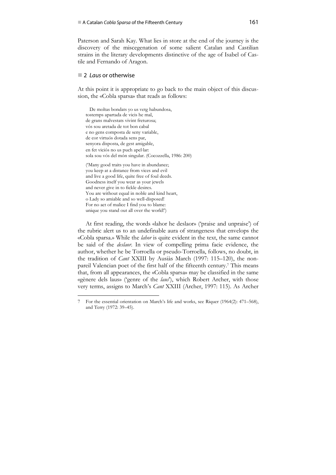Paterson and Sarah Kay. What lies in store at the end of the journey is the discovery of the miscegenation of some salient Catalan and Castilian strains in the literary developments distinctive of the age of Isabel of Castile and Fernando of Aragon.

### 2 *Laus* or otherwise

1

At this point it is appropriate to go back to the main object of this discussion, the «Cobla sparsa» that reads as follows:

 De moltas bondats yo us vetg habundosa, tostemps apartada de vicis he mal, de grans malvestats vivint freturosa; vós sou aretada de tot bon cabal e no gens composta de seny variable, de cor virtuós dotada sens par, senyora disposta, de gest amigable, en fet viciós no us puch apel⋅lar: sola sou vós del món singular. (Cocozzella, 1986: 200)

('Many good traits you have in abundance; you keep at a distance from vices and evil and live a good life, quite free of foul deeds. Goodness itself you wear as your jewels and never give in to fickle desires. You are without equal in noble and kind heart, o Lady so amiable and so well-disposed! For no act of malice I find you to blame: unique you stand out all over the world!')

At first reading, the words «lahor he deslaor» ('praise and unpraise') of the rubric alert us to an undefinable aura of strangeness that envelops the «Cobla sparsa.» While the *lahor* is quite evident in the text, the same cannot be said of the *deslaor*. In view of compelling prima facie evidence, the author, whether he be Torroella or pseudo-Torroella, follows, no doubt, in the tradition of *Cant* XXIII by Ausiàs March (1997: 115–120), the nonpareil Valencian poet of the first half of the fifteenth century.7 This means that, from all appearances, the «Cobla sparsa» may be classified in the same «gènere dels laus» ('genre of the *laus*'), which Robert Archer, with those very terms, assigns to March's *Cant* XXIII (Archer, 1997: 115). As Archer

<sup>7</sup> For the essential orientation on March's life and works, see Riquer (1964(2): 471–568), and Terry (1972: 39–45).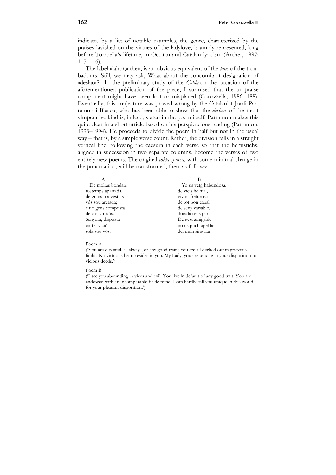indicates by a list of notable examples, the genre, characterized by the praises lavished on the virtues of the ladylove, is amply represented, long before Torroella's lifetime, in Occitan and Catalan lyricism (Archer, 1997: 115–116).

The label «lahor,» then, is an obvious equivalent of the *laus* of the troubadours. Still, we may ask, What about the concomitant designation of «deslaor?» In the preliminary study of the *Cobla* on the occasion of the aforementioned publication of the piece, I surmised that the un-praise component might have been lost or misplaced (Cocozzella, 1986: 188). Eventually, this conjecture was proved wrong by the Catalanist Jordi Parramon i Blasco, who has been able to show that the *deslaor* of the most vituperative kind is, indeed, stated in the poem itself. Parramon makes this quite clear in a short article based on his perspicacious reading (Parramon, 1993–1994). He proceeds to divide the poem in half but not in the usual way – that is, by a simple verse count. Rather, the division falls in a straight vertical line, following the caesura in each verse so that the hemistichs, aligned in succession in two separate columns, become the verses of two entirely new poems. The original *cobla sparsa*, with some minimal change in the punctuation, will be transformed, then, as follows:

| Yo us vetg habundosa, |
|-----------------------|
| de vicis he mal,      |
| vivint freturosa      |
| de tot bon cabal,     |
| de seny variable,     |
| dotada sens par.      |
| De gest amigable      |
| no us puch apel·lar   |
| del món singular.     |
|                       |

#### Poem A

('You are divested, as always, of any good traits; you are all decked out in grievous faults. No virtuous heart resides in you. My Lady, you are unique in your disposition to vicious deeds.')

#### Poem B

('I see you abounding in vices and evil. You live in default of any good trait. You are endowed with an incomparable fickle mind. I can hardly call you unique in this world for your pleasant disposition.')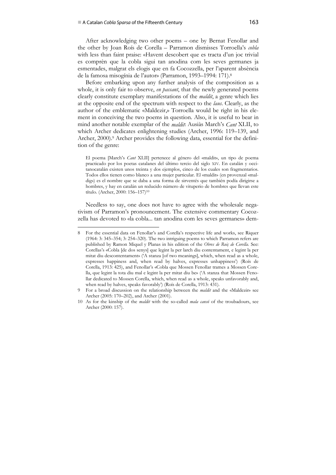1

After acknowledging two other poems – one by Bernat Fenollar and the other by Joan Roís de Corella – Parramon dismisses Torroella's *cobla* with less than faint praise: «Havent descobert que es tracta d'un joc trivial es comprèn que la cobla sigui tan anodina com les seves germanes ja esmentades, malgrat els elogis que en fa Cocozzella, per l'aparent absència de la famosa misogínia de l'autor» (Parramon, 1993–1994: 171).8

Before embarking upon any further analysis of the composition as a whole, it is only fair to observe, *en passant*, that the newly generated poems clearly constitute exemplary manifestations of the *maldit*, a genre which lies at the opposite end of the spectrum with respect to the *laus*. Clearly, as the author of the emblematic «Maldezir,» Torroella would be right in his element in conceiving the two poems in question. Also, it is useful to bear in mind another notable exemplar of the *maldit*: Ausiàs March's *Cant* XLII, to which Archer dedicates enlightening studies (Archer, 1996: 119–139, and Archer, 2000).<sup>9</sup> Archer provides the following data, essential for the definition of the genre:

El poema [March's *Cant* XLII] pertenece al género del «maldit», un tipo de poema practicado por los poetas catalanes del último tercio del siglo XIV. En catalán y occitanocatalán existen unos treinta y dos ejemplos, cinco de los cuales son fragmentarios. Todos ellos tienen como blanco a una mujer particular. El «maldit» (en provenzal «maldig») es el nombre que se daba a una forma de sirventés que también podía dirigirse a hombres, y hay en catalán un reducido número de vituperio de hombres que llevan este título. (Archer, 2000: 156–157)10

Needless to say, one does not have to agree with the wholesale negativism of Parramon's pronouncement. The extensive commentary Cocozzella has devoted to «la cobla... tan anodina com les seves germanes» dem-

<sup>8</sup> For the essential data on Fenollar's and Corella's respective life and works, see Riquer (1964: 3: 345–354; 3: 254–320). The two intriguing poems to which Parramon refers are published by Ramon Miquel y Planas in his edition of the *Obres de Roiç de Corella*. See: Corellas's «Cobla [de dos senys] que legint la per larch diu contentament, e legint la per mitat diu descontentament» ('A stanza [of two meanings], which, when read as a whole, expresses happiness and, when read by halves, expresses unhappiness') (Roís de Corella, 1913: 425), and Fenollar's «Cobla que Mossen Fenollar trames a Mossen Corella, que legint la tota diu mal e legint la per mitat diu be» ('A stanza that Mossen Fenollar dedicated to Mossen Corella, which, when read as a whole, speaks unfavorably and, when read by halves, speaks favorably') (Roís de Corella, 1913: 431).

<sup>9</sup> For a broad discussion on the relationship between the *maldit* and the «Maldezir» see Archer (2005: 170–202), and Archer (2001).

<sup>10</sup> As for the kinship of the *maldit* with the so-called *mala cansó* of the troubadours, see Archer (2000: 157).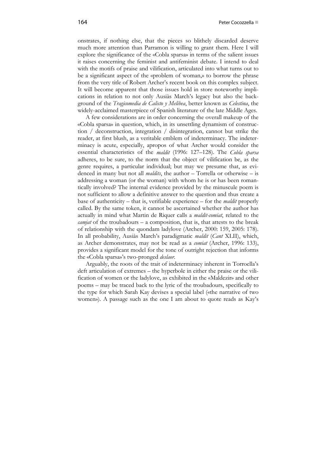onstrates, if nothing else, that the pieces so blithely discarded deserve much more attention than Parramon is willing to grant them. Here I will explore the significance of the «Cobla sparsa» in terms of the salient issues it raises concerning the feminist and antifeminist debate. I intend to deal with the motifs of praise and vilification, articulated into what turns out to be a significant aspect of the «problem of woman,» to borrow the phrase from the very title of Robert Archer's recent book on this complex subject. It will become apparent that those issues hold in store noteworthy implications in relation to not only Ausiàs March's legacy but also the background of the *Tragicomedia de Calisto y Melibea*, better known as *Celestina*, the widely-acclaimed masterpiece of Spanish literature of the late Middle Ages.

A few considerations are in order concerning the overall makeup of the «Cobla sparsa» in question, which, in its unsettling dynamism of construction / deconstruction, integration / disintegration, cannot but strike the reader, at first blush, as a veritable emblem of indeterminacy. The indeterminacy is acute, especially, apropos of what Archer would consider the essential characteristics of the *maldit* (1996: 127–128). The *Cobla sparsa* adheres, to be sure, to the norm that the object of vilification be, as the genre requires, a particular individual; but may we presume that, as evidenced in many but not all *maldits*, the author – Torrella or otherwise – is addressing a woman (or the woman) with whom he is or has been romantically involved? The internal evidence provided by the minuscule poem is not sufficient to allow a definitive answer to the question and thus create a base of authenticity – that is, verifiable experience – for the *maldit* properly called. By the same token, it cannot be ascertained whether the author has actually in mind what Martin de Riquer calls a *maldit-comiat*, related to the *camjat* of the troubadours – a composition, that is, that attests to the break of relationship with the quondam ladylove (Archer, 2000: 159, 2005: 178). In all probability, Ausiàs March's paradigmatic *maldit* (*Cant* XLII), which, as Archer demonstrates, may not be read as a *comiat* (Archer, 1996: 133), provides a significant model for the tone of outright rejection that informs the «Cobla sparsa»'s two-pronged *deslaor*.

Arguably, the roots of the trait of indeterminacy inherent in Torroella's deft articulation of extremes – the hyperbole in either the praise or the vilification of women or the ladylove, as exhibited in the «Maldezir» and other poems – may be traced back to the lyric of the troubadours, specifically to the type for which Sarah Kay devises a special label («the narrative of two women»). A passage such as the one I am about to quote reads as Kay's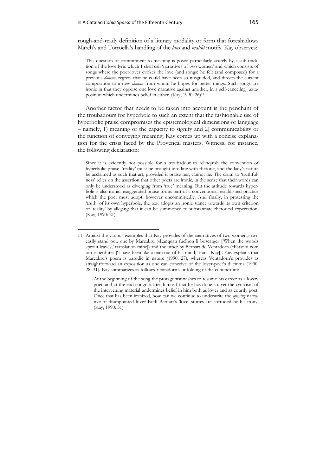1

rough-and-ready definition of a literary modality or form that foreshadows March's and Torroella's handling of the *laus* and *maldit* motifs. Kay observes:

This question of commitment to meaning is posed particularly acutely by a sub-tradition of the love lyric which I shall call 'narratives of two women' and which consists of songs where the poet-lover evokes the love (and songs) he felt (and composed) for a previous *domna*, regrets that he could have been so misguided, and directs the current composition to a new *domna* from whom he hopes for better things. Such songs are ironic in that they oppose one love narrative against another, in a self-canceling juxtaposition which undermines belief in either. (Kay, 1990: 26)11

Another factor that needs to be taken into account is the penchant of the troubadours for hyperbole to such an extent that the fashionable use of hyperbolic praise compromises the epistemological dimensions of language – namely, 1) meaning or the capacity to signify and 2) communicability or the function of conveying meaning. Kay comes up with a concise explanation for the crisis faced by the Provençal masters. Witness, for instance, the following declaration:

Since it is evidently not possible for a troubadour to relinquish the convention of hyperbolic praise, 'reality' must be brought into line with rhetoric, and the lady's nature be acclaimed as such that art, provided it praise her, cannot lie. The claim to 'truthfulness' relies on the assertion that other poets are ironic, in the sense that their words can only be understood as diverging from 'true' meaning. But the attitude towards hyperbole is also ironic: exaggerated praise forms part of a conventional, established practice which the poet must adopt, however uncommittedly. And finally, in protesting the 'truth' of its own hyperbole, the text adopts an ironic stance towards its own criterion of 'reality' by alleging that it can be summoned to substantiate rhetorical expectation. (Kay, 1990: 21)

At the beginning of the song the protagonist wishes to resume his career as a loverpoet, and at the end congratulates himself that he has done so, yet the cynicism of the intervening material undermines belief in him both as lover and as courtly poet. Once that has been ironized, how can we continue to underwrite the *opening* narrative of disappointed love? Both Bernart's 'love' stories are corroded by his irony. (Kay, 1990: 31)

<sup>11</sup> Amidst the various examples that Kay provides of the «narratives of two women,» two easily stand out: one by Marcabru («Lanquan fuelhon li boscatge» ['When the woods sprout leaves;' translation mine]) and the other by Bernart de Ventadorn («Estat ai com om esperdutz» ['I have been like a man out of his mind;' trans. Kay]). Kay explains that Marcabru's poem is parodic in nature (1990: 27), whereas Ventadorn's provides as straightforward an exposition as one can conceive of the lover-poet's dilemma (1990: 28–31). Kay summarizes as follows Ventadorn's unfolding of the conundrum: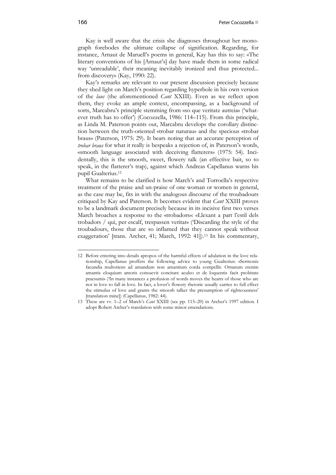Kay is well aware that the crisis she diagnoses throughout her monograph forebodes the ultimate collapse of signification. Regarding, for instance, Arnaut de Maruell's poems in general, Kay has this to say: «The literary conventions of his [Arnaut's] day have made them in some radical way 'unreadable', their meaning inevitably ironized and thus protected... from discovery» (Kay, 1990: 22).

Kay's remarks are relevant to our present discussion precisely because they shed light on March's position regarding hyperbole in his own version of the *laus* (the aforementioned *Cant* XXIII). Even as we reflect upon them, they evoke an ample context, encompassing, as a background of sorts, Marcabru's principle stemming from «so que veritatz autreia» ('whatever truth has to offer') (Cocozzella, 1986: 114–115). From this principle, as Linda M. Paterson points out, Marcabru develops the corollary distinction between the truth-oriented «trobar naturau» and the specious «trobar braus» (Paterson, 1975: 29). It bears noting that an accurate perception of *trobar braus* for what it really is bespeaks a rejection of, in Paterson's words, «smooth language associated with deceiving flatterers» (1975: 54). Incidentally, this is the smooth, sweet, flowery talk (an effective bait, so to speak, in the flatterer's trap), against which Andreas Capellanus warns his pupil Gualterius.12

What remains to be clarified is how March's and Torroella's respective treatment of the praise and un-praise of one woman or women in general, as the case may be, fits in with the analogous discourse of the troubadours critiqued by Kay and Paterson. It becomes evident that *Cant* XXIII proves to be a landmark document precisely because in its incisive first two verses March broaches a response to the «trobadors»: «Llexant a part l'estil dels trobadors / qui, per escalf, trespassen veritat» ('Discarding the style of the troubadours, those that are so inflamed that they cannot speak without exaggeration' [trans. Archer, 41; March, 1992: 41]).<sup>13</sup> In his commentary,

1

<sup>12</sup> Before entering into details apropos of the harmful effects of adulation in the love relationship, Capellanus proffers the following advice to young Gualterius: «Sermonis facundia multotiens ad amandum non amantium corda compellit. Ornatum etenim amantis eloquium amoris consuevit concitare aculeo et de loquentis facit probitate praesumi» ('In many instances a profusion of words moves the hearts of those who are not in love to fall in love. In fact, a lover's flowery rhetoric usually carries to full effect the stimulus of love and grants the smooth talker the presumption of righteousness' [translation mine]) (Capellanus, 1982: 44).

<sup>13</sup> These are vv. 1–2 of March's *Cant* XXIII (see pp. 115–20) in Archer's 1997 edition. I adopt Robert Archer's translation with some minor emendations.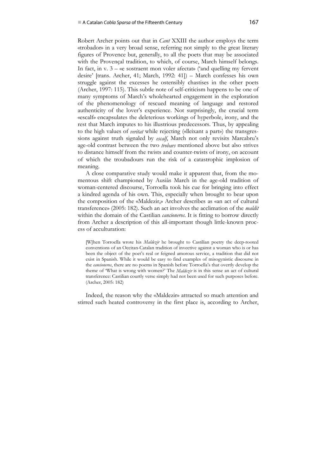Robert Archer points out that in *Cant* XXIII the author employs the term «trobador» in a very broad sense, referring not simply to the great literary figures of Provence but, generally, to all the poets that may be associated with the Provençal tradition, to which, of course, March himself belongs. In fact, in v. 3 – «e sostraent mon voler afectat» ('and quelling my fervent desire' [trans. Archer, 41; March, 1992: 41]) – March confesses his own struggle against the excesses he ostensibly chastises in the other poets (Archer, 1997: 115). This subtle note of self-criticism happens to be one of many symptoms of March's wholehearted engagement in the exploration of the phenomenology of rescued meaning of language and restored authenticity of the lover's experience. Not surprisingly, the crucial term «escalf» encapsulates the deleterious workings of hyperbole, irony, and the rest that March imputes to his illustrious predecessors. Thus, by appealing to the high values of *veritat* while rejecting («lleixant a part») the transgressions against truth signaled by *escalf*, March not only revisits Marcabru's age-old contrast between the two *trobars* mentioned above but also strives to distance himself from the twists and counter-twists of irony, on account of which the troubadours run the risk of a catastrophic implosion of meaning.

A close comparative study would make it apparent that, from the momentous shift championed by Ausiàs March in the age-old tradition of woman-centered discourse, Torroella took his cue for bringing into effect a kindred agenda of his own. This, especially when brought to bear upon the composition of the «Maldezir,» Archer describes as «an act of cultural transference» (2005: 182). Such an act involves the acclimation of the *maldit* within the domain of the Castilian *cancioneros*. It is fitting to borrow directly from Archer a description of this all-important though little-known process of acculturation:

[W]hen Torroella wrote his *Maldezir* he brought to Castilian poetry the deep-rooted conventions of an Occitan-Catalan tradition of invective against a woman who is or has been the object of the poet's real or feigned amorous service, a tradition that did not exist in Spanish. While it would be easy to find examples of misogynistic discourse in the *cancioneros*, there are no poems in Spanish before Torroella's that overtly develop the theme of 'What is wrong with women?' The *Maldezir* is in this sense an act of cultural transference: Castilian courtly verse simply had not been used for such purposes before. (Archer, 2005: 182)

Indeed, the reason why the «Maldezir» attracted so much attention and stirred such heated controversy in the first place is, according to Archer,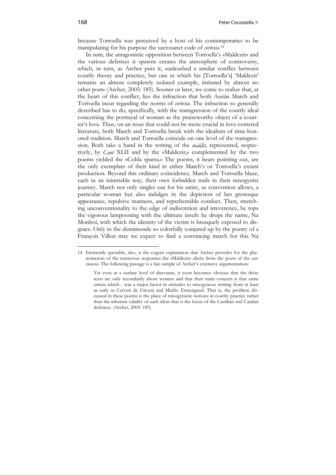because Torroella was perceived by a host of his contemporaries to be manipulating for his purpose the sacrosanct code of *cortesia*. 14

In sum, the antagonistic opposition between Torroella's «Maldezir» and the various defenses it spawns creates the atmosphere of controversy, which, in turn, as Archer puts it, «unleashed a similar conflict between courtly theory and practice, but one in which his [Torroella's] 'Maldezir' remains an almost completely isolated example, imitated by almost no other poet» (Archer, 2005: 185). Sooner or later, we come to realize that, at the heart of this conflict, lies the infraction that both Ausiàs March and Torroella incur regarding the norms of *cortesia*. The infraction so generally described has to do, specifically, with the transgression of the courtly ideal concerning the portrayal of woman as the praiseworthy object of a courtier's love. Thus, on an issue that could not be more crucial in love-centered literature, both March and Torroella break with the idealism of time-honored tradition. March and Torroella coincide on one level of the transgression. Both take a hand in the writing of the *maldit*, represented, respectively, by *Cant* XLII and by the «Maldezir,» complemented by the two poems yielded the «Cobla sparsa.» The poems, it bears pointing out, are the only exemplars of their kind in either March's or Torroella's extant production. Beyond this ordinary coincidence, March and Torroella blaze, each in an inimitable way, their own forbidden trails in their misogynist journey. March not only singles out for his satire, as convention allows, a particular woman but also indulges in the depiction of her grotesque appearance, repulsive manners, and reprehensible conduct. Then, stretching unconventionality to the edge of indiscretion and irreverence, he tops the vigorous lampooning with the ultimate insult: he drops the name, Na Monboí, with which the identity of the victim is brusquely exposed to disgrace. Only in the demimonde so colorfully conjured up by the poetry of a François Villon may we expect to find a convincing match for this Na

1

<sup>14</sup> Eminently quotable, also, is the cogent explanation that Archer provides for the phenomenon of the numerous responses the «Maldezir» elicits from the poets of the *cancioneros*. The following passage is a fair sample of Archer's extensive argumentation:

Yet even at a surface level of discourse, it soon becomes obvious that the these texts are only secondarily about women and that their main concern is that same *cortesia* which... was a major factor in attitudes to misogynous writing from at least as early as Cerverí de Girona and Matfre Ermengaud. That is, the problem discussed in these poems is the place of misogynistic notions in courtly practice rather than the inherent validity of such ideas that is the focus of the Castilian and Catalan defences. (Archer, 2005: 185)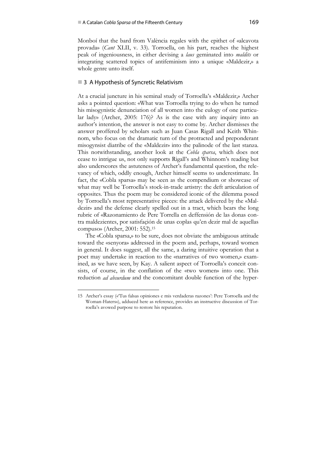Monboí that the bard from València regales with the epithet of «alcavota provada» (*Cant* XLII, v. 33). Torroella, on his part, reaches the highest peak of ingeniousness, in either devising a *laus* geminated into *maldits* or integrating scattered topics of antifeminism into a unique «Maldezir,» a whole genre unto itself.

## ■ 3 A Hypothesis of Syncretic Relativism

At a crucial juncture in his seminal study of Torroella's «Maldezir,» Archer asks a pointed question: «What was Torroella trying to do when he turned his misogynistic denunciation of all women into the eulogy of one particular lady» (Archer, 2005: 176)? As is the case with any inquiry into an author's intention, the answer is not easy to come by. Archer dismisses the answer proffered by scholars such as Juan Casas Rigall and Keith Whinnom, who focus on the dramatic turn of the protracted and preponderant misogynsist diatribe of the «Maldezir» into the palinode of the last stanza. This notwithstanding, another look at the *Cobla sparsa*, which does not cease to intrigue us, not only supports Rigall's and Whinnom's reading but also underscores the astuteness of Archer's fundamental question, the relevancy of which, oddly enough, Archer himself seems to underestimate. In fact, the «Cobla sparsa» may be seen as the compendium or showcase of what may well be Torroella's stock-in-trade artistry: the deft articulation of opposites. Thus the poem may be considered iconic of the dilemma posed by Torroella's most representative pieces: the attack delivered by the «Maldezir» and the defense clearly spelled out in a tract, which bears the long rubric of «Razonamiento de Pere Torrella en deffensión de las donas contra maldezientes, por satisfaçión de unas coplas qu'en dezir mal de aquellas compuso» (Archer, 2001: 552).15

The «Cobla sparsa,» to be sure, does not obviate the ambiguous attitude toward the «senyora» addressed in the poem and, perhaps, toward women in general. It does suggest, all the same, a daring intuitive operation that a poet may undertake in reaction to the «narratives of two women,» examined, as we have seen, by Kay. A salient aspect of Torroella's conceit consists, of course, in the conflation of the «two women» into one. This reduction *ad absurdum* and the concomitant double function of the hyper-

 $\ddot{\phantom{a}}$ 

<sup>15</sup> Archer's essay («'Tus falsas opiniones e mis verdaderas razones': Pere Torroella and the Woman-Haters»), adduced here as reference, provides an instructive discussion of Torroella's avowed purpose to restore his reputation.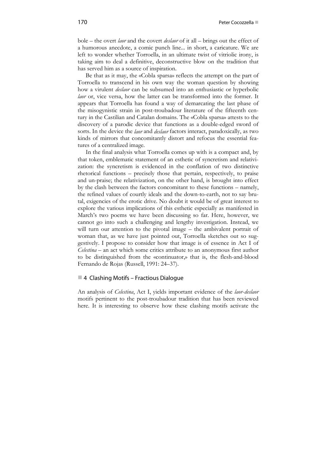bole – the overt *laor* and the covert *deslaor* of it all – brings out the effect of a humorous anecdote, a comic punch line... in short, a caricature. We are left to wonder whether Torroella, in an ultimate twist of vitriolic irony, is taking aim to deal a definitive, deconstructive blow on the tradition that has served him as a source of inspiration.

Be that as it may, the «Cobla sparsa» reflects the attempt on the part of Torroella to transcend in his own way the woman question by showing how a virulent *deslaor* can be subsumed into an enthusiastic or hyperbolic *laor* or, vice versa, how the latter can be transformed into the former. It appears that Torroella has found a way of demarcating the last phase of the misogynistic strain in post-troubadour literature of the fifteenth century in the Castilian and Catalan domains. The «Cobla sparsa» attests to the discovery of a parodic device that functions as a double-edged sword of sorts. In the device the *laor* and *deslaor* factors interact, paradoxically, as two kinds of mirrors that concomitantly distort and refocus the essential features of a centralized image.

In the final analysis what Torroella comes up with is a compact and, by that token, emblematic statement of an esthetic of syncretism and relativization: the syncretism is evidenced in the conflation of two distinctive rhetorical functions – precisely those that pertain, respectively, to praise and un-praise; the relativization, on the other hand, is brought into effect by the clash between the factors concomitant to these functions – namely, the refined values of courtly ideals and the down-to-earth, not to say brutal, exigencies of the erotic drive. No doubt it would be of great interest to explore the various implications of this esthetic especially as manifested in March's two poems we have been discussing so far. Here, however, we cannot go into such a challenging and lengthy investigation. Instead, we will turn our attention to the pivotal image – the ambivalent portrait of woman that, as we have just pointed out, Torroella sketches out so suggestively. I propose to consider how that image is of essence in Act I of *Celestina* – an act which some critics attribute to an anonymous first author to be distinguished from the «continuator,» that is, the flesh-and-blood Fernando de Rojas (Russell, 1991: 24–37).

### ■4 Clashing Motifs – Fractious Dialogue

An analysis of *Celestina*, Act I, yields important evidence of the *laor*-*deslaor* motifs pertinent to the post-troubadour tradition that has been reviewed here. It is interesting to observe how these clashing motifs activate the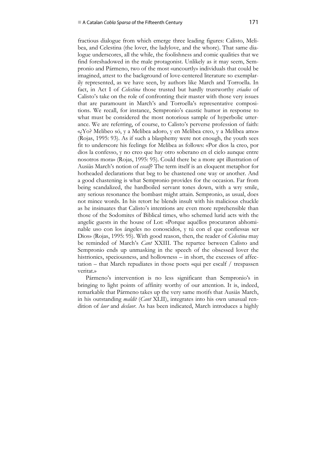fractious dialogue from which emerge three leading figures: Calisto, Melibea, and Celestina (the lover, the ladylove, and the whore). That same dialogue underscores, all the while, the foolishness and comic qualities that we find foreshadowed in the male protagonist. Unlikely as it may seem, Sempronio and Pármeno, two of the most «uncourtly» individuals that could be imagined, attest to the background of love-centered literature so exemplarily represented, as we have seen, by authors like March and Torroella. In fact, in Act I of *Celestina* those trusted but hardly trustworthy *criados* of Calisto's take on the role of confronting their master with those very issues that are paramount in March's and Torroella's representative compositions. We recall, for instance, Sempronio's caustic humor in response to what must be considered the most notorious sample of hyperbolic utterance. We are referring, of course, to Calisto's perverse profession of faith: «¿Yo? Melibeo só, y a Melibea adoro, y en Melibea creo, y a Melibea amo» (Rojas, 1995: 93). As if such a blasphemy were not enough, the youth sees fit to underscore his feelings for Melibea as follows: «Por dios la creo, por dios la confesso, y no creo que hay otro soberano en el cielo aunque entre nosotros mora» (Rojas, 1995: 95). Could there be a more apt illustration of Ausiàs March's notion of *escalf*? The term itself is an eloquent metaphor for hotheaded declarations that beg to be chastened one way or another. And a good chastening is what Sempronio provides for the occasion. Far from being scandalized, the hardboiled servant tones down, with a wry smile, any serious resonance the bombast might attain. Sempronio, as usual, does not mince words. In his retort he blends insult with his malicious chuckle as he insinuates that Calisto's intentions are even more reprehensible than those of the Sodomites of Biblical times, who schemed lurid acts with the angelic guests in the house of Lot: «Porque aquéllos procuraron abhominable uso con los ángeles no conoscidos, y tú con el que confiessas ser Dios» (Rojas, 1995: 95). With good reason, then, the reader of *Celestina* may be reminded of March's *Cant* XXIII. The repartee between Calisto and Sempronio ends up unmasking in the speech of the obsessed lover the histrionics, speciousness, and hollowness – in short, the excesses of affectation – that March repudiates in those poets «qui per escalf / trespassen veritat.»

Pármeno's intervention is no less significant than Sempronio's in bringing to light points of affinity worthy of our attention. It is, indeed, remarkable that Pármeno takes up the very same motifs that Ausiàs March, in his outstanding *maldit* (*Cant* XLII), integrates into his own unusual rendition of *laor* and *deslaor*. As has been indicated, March introduces a highly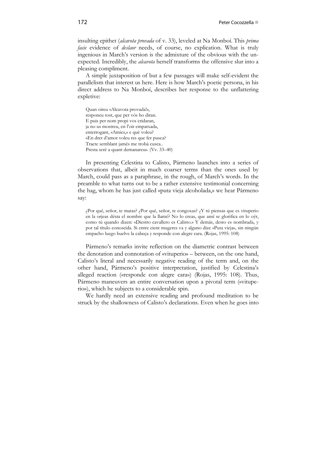insulting epithet (*alcavota provada* of v. 33), leveled at Na Monboí. This *prima facie* evidence of *deslaor* needs, of course, no explication. What is truly ingenious in March's version is the admixture of the obvious with the unexpected. Incredibly, the *alcavota* herself transforms the offensive slur into a pleasing compliment.

A simple juxtaposition of but a few passages will make self-evident the parallelism that interest us here. Here is how March's poetic persona, in his direct address to Na Monboí, describes her response to the unflattering expletive:

Quan oireu «Alcavota provada!», responeu tost, que per vós ho diran. E puis per nom propi vos cridaran, ja no us mostreu, en l'oir empatxada, enterrogant, «Amics,» e què voleu? «En dret d'amor voleu res que fer pusca? Tracte semblant jamés me trobà cusca.. Presta seré a quant demanareu». (Vv. 33–40)

In presenting Celestina to Calisto, Pármeno launches into a series of observations that, albeit in much coarser terms than the ones used by March, could pass as a paraphrase, in the rough, of March's words. In the preamble to what turns out to be a rather extensive testimonial concerning the hag, whom he has just called «puta vieja alcoholada,» we hear Pármeno say:

¿Por qué, señor, te matas? ¿Por qué, señor, te congoxas? ¿Y tú piensas que es vituperio en la orjeas désta el nombre que la llamé? No lo creas, que ansí se glorifica en lo oýr, como tú quando dizen: «Diestro cavallero es Calisto.» Y demás, desto es nombrada, y por tal título conoscida. Si entre cient mugeres va y alguno dize «Puta vieja», sin ningún empacho luego buelve la cabeça y responde con alegre cara. (Rojas, 1995: 108)

Pármeno's remarks invite reflection on the diametric contrast between the denotation and connotation of «vituperio» – between, on the one hand, Calisto's literal and necessarily negative reading of the term and, on the other hand, Pármeno's positive interpretation, justified by Celestina's alleged reaction («responde con alegre cara») (Rojas, 1995: 108). Thus, Pármeno maneuvers an entire conversation upon a pivotal term («vituperio»), which he subjects to a considerable spin.

We hardly need an extensive reading and profound meditation to be struck by the shallowness of Calisto's declarations. Even when he goes into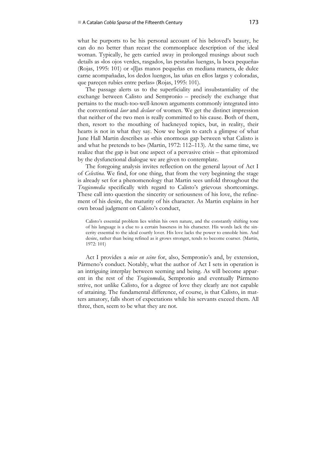what he purports to be his personal account of his beloved's beauty, he can do no better than recast the commonplace description of the ideal woman. Typically, he gets carried away in prolonged musings about such details as «los ojos verdes, rasgados, las pestañas luengas, la boca pequeña» (Rojas, 1995: 101) or «[l]as manos pequeñas en mediana manera, de dulce carne acompañadas, los dedos luengos, las uñas en ellos largas y coloradas, que pareçen rubíes entre perlas» (Rojas, 1995: 101).

The passage alerts us to the superficiality and insubstantiality of the exchange between Calisto and Sempronio – precisely the exchange that pertains to the much-too-well-known arguments commonly integrated into the conventional *laor* and *deslaor* of women. We get the distinct impression that neither of the two men is really committed to his cause. Both of them, then, resort to the mouthing of hackneyed topics, but, in reality, their hearts is not in what they say. Now we begin to catch a glimpse of what June Hall Martin describes as «this enormous gap between what Calisto is and what he pretends to be» (Martin, 1972: 112–113). At the same time, we realize that the gap is but one aspect of a pervasive crisis – that epitomized by the dysfunctional dialogue we are given to contemplate.

The foregoing analysis invites reflection on the general layout of Act I of *Celestina*. We find, for one thing, that from the very beginning the stage is already set for a phenomenology that Martin sees unfold throughout the *Tragicomedia* specifically with regard to Calisto's grievous shortcomings. These call into question the sincerity or seriousness of his love, the refinement of his desire, the maturity of his character. As Martin explains in her own broad judgment on Calisto's conduct,

Calisto's essential problem lies within his own nature, and the constantly shifting tone of his language is a clue to a certain baseness in his character. His words lack the sincerity essential to the ideal courtly lover. His love lacks the power to ennoble him. And desire, rather than being refined as it grows stronger, tends to become coarser. (Martin, 1972: 101)

Act I provides a *mise en scène* for, also, Sempronio's and, by extension, Pármeno's conduct. Notably, what the author of Act I sets in operation is an intriguing interplay between seeming and being. As will become apparent in the rest of the *Tragicomedia*, Sempronio and eventually Pármeno strive, not unlike Calisto, for a degree of love they clearly are not capable of attaining. The fundamental difference, of course, is that Calisto, in matters amatory, falls short of expectations while his servants exceed them. All three, then, seem to be what they are not.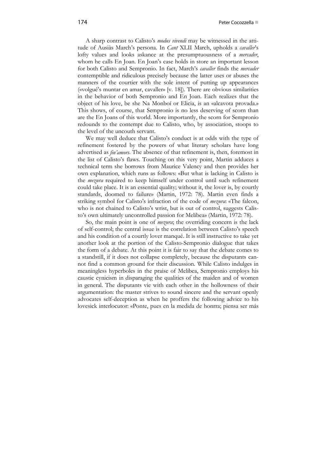A sharp contrast to Calisto's *modus vivendi* may be witnessed in the attitude of Ausiàs March's persona. In *Cant* XLII March, upholds a *cavaller*'s lofty values and looks askance at the presumptuousness of a *mercader*, whom he calls En Joan. En Joan's case holds in store an important lesson for both Calisto and Sempronio. In fact, March's *cavaller* finds the *mercader* contemptible and ridiculous precisely because the latter uses or abuses the manners of the courtier with the sole intent of putting up appearances («volgué's muntar en amar, cavaller» [v. 18]). There are obvious similarities in the behavior of both Sempronio and En Joan. Each realizes that the object of his love, be she Na Monboí or Elicia, is an «alcavota provada.» This shows, of course, that Sempronio is no less deserving of scorn than are the En Joans of this world. More importantly, the scorn for Sempronio redounds to the contempt due to Calisto, who, by association, stoops to the level of the uncouth servant.

We may well deduce that Calisto's conduct is at odds with the type of refinement fostered by the powers of what literary scholars have long advertised as *fin'amors*. The absence of that refinement is, then, foremost in the list of Calisto's flaws. Touching on this very point, Martin adduces a technical term she borrows from Maurice Valency and then provides her own explanation, which runs as follows: «But what is lacking in Calisto is the *mezura* required to keep himself under control until such refinement could take place. It is an essential quality; without it, the lover is, by courtly standards, doomed to failure» (Martin, 1972: 78). Martin even finds a striking symbol for Calisto's infraction of the code of *mezura*: «The falcon, who is not chained to Calisto's wrist, but is out of control, suggests Calisto's own ultimately uncontrolled passion for Melibea» (Martin, 1972: 78).

So, the main point is one of *mezura*; the overriding concern is the lack of self-control; the central issue is the correlation between Calisto's speech and his condition of a courtly lover manqué. It is still instructive to take yet another look at the portion of the Calisto-Sempronio dialogue that takes the form of a debate. At this point it is fair to say that the debate comes to a standstill, if it does not collapse completely, because the disputants cannot find a common ground for their discussion. While Calisto indulges in meaningless hyperboles in the praise of Melibea, Sempronio employs his caustic cynicism in disparaging the qualities of the maiden and of women in general. The disputants vie with each other in the hollowness of their argumentation: the master strives to sound sincere and the servant openly advocates self-deception as when he proffers the following advice to his lovesick interlocutor: «Ponte, pues en la medida de honrra; piensa ser más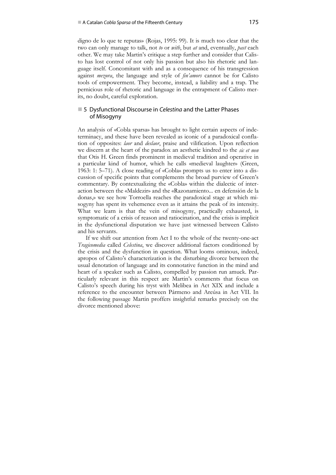digno de lo que te reputas» (Rojas, 1995: 99). It is much too clear that the two can only manage to talk, not *to* or *with*, but *at* and, eventually, *past* each other. We may take Martin's critique a step further and consider that Calisto has lost control of not only his passion but also his rhetoric and language itself. Concomitant with and as a consequence of his transgression against *mezura*, the language and style of *fin'amors* cannot be for Calisto tools of empowerment. They become, instead, a liability and a trap. The pernicious role of rhetoric and language in the entrapment of Calisto merits, no doubt, careful exploration.

# 5 Dysfunctional Discourse in *Celestina* and the Latter Phases of Misogyny

An analysis of «Cobla sparsa» has brought to light certain aspects of indeterminacy, and these have been revealed as iconic of a paradoxical conflation of opposites: *laor* and *deslaor*, praise and vilification. Upon reflection we discern at the heart of the paradox an aesthetic kindred to the *sic et non* that Otis H. Green finds prominent in medieval tradition and operative in a particular kind of humor, which he calls «medieval laughter» (Green, 1963: 1: 5–71). A close reading of «Cobla» prompts us to enter into a discussion of specific points that complements the broad purview of Green's commentary. By contextualizing the «Cobla» within the dialectic of interaction between the «Maldezir» and the «Razonamiento... en defensión de la donas,» we see how Torroella reaches the paradoxical stage at which misogyny has spent its vehemence even as it attains the peak of its intensity. What we learn is that the vein of misogyny, practically exhausted, is symptomatic of a crisis of reason and ratiocination, and the crisis is implicit in the dysfunctional disputation we have just witnessed between Calisto and his servants.

If we shift our attention from Act I to the whole of the twenty-one-act *Tragicomedia* called *Celestina*, we discover additional factors conditioned by the crisis and the dysfunction in question. What looms ominous, indeed, apropos of Calisto's characterization is the disturbing divorce between the usual denotation of language and its connotative function in the mind and heart of a speaker such as Calisto, compelled by passion run amuck. Particularly relevant in this respect are Martin's comments that focus on Calisto's speech during his tryst with Melibea in Act XIX and include a reference to the encounter between Pármeno and Areúsa in Act VII. In the following passage Martin proffers insightful remarks precisely on the divorce mentioned above: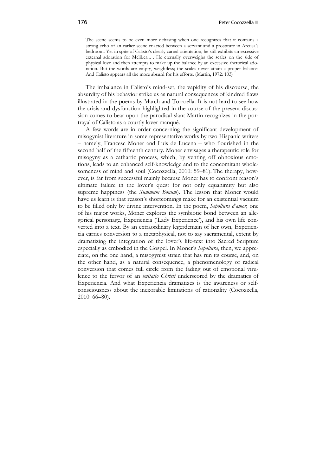The scene seems to be even more debasing when one recognizes that it contains a strong echo of an earlier scene enacted between a servant and a prostitute in Areusa's bedroom. Yet in spite of Calisto's clearly carnal orientation, he still exhibits an excessive external adoration for Melibea... . He eternally overweighs the scales on the side of physical love and then attempts to make up the balance by an excessive rhetorical adoration. But the words are empty, weightless; the scales never attain a proper balance. And Calisto appears all the more absurd for his efforts. (Martin, 1972: 103)

The imbalance in Calisto's mind-set, the vapidity of his discourse, the absurdity of his behavior strike us as natural consequences of kindred flaws illustrated in the poems by March and Torroella. It is not hard to see how the crisis and dysfunction highlighted in the course of the present discussion comes to bear upon the parodical slant Martin recognizes in the portrayal of Calisto as a courtly lover manqué.

A few words are in order concerning the significant development of misogynist literature in some representative works by two Hispanic writers – namely, Francesc Moner and Luis de Lucena – who flourished in the second half of the fifteenth century. Moner envisages a therapeutic role for misogyny as a cathartic process, which, by venting off obnoxious emotions, leads to an enhanced self-knowledge and to the concomitant wholesomeness of mind and soul (Cocozzella, 2010: 59–81). The therapy, however, is far from successful mainly because Moner has to confront reason's ultimate failure in the lover's quest for not only equanimity but also supreme happiness (the *Summum Bonum*). The lesson that Moner would have us learn is that reason's shortcomings make for an existential vacuum to be filled only by divine intervention. In the poem, *Sepoltura d'amor*, one of his major works, Moner explores the symbiotic bond between an allegorical personage, Experiencia ('Lady Experience'), and his own life converted into a text. By an extraordinary legerdemain of her own, Experiencia carries conversion to a metaphysical, not to say sacramental, extent by dramatizing the integration of the lover's life-text into Sacred Scripture especially as embodied in the Gospel. In Moner's *Sepoltura*, then, we appreciate, on the one hand, a misogynist strain that has run its course, and, on the other hand, as a natural consequence, a phenomenology of radical conversion that comes full circle from the fading out of emotional virulence to the fervor of an *imitatio Christi* underscored by the dramatics of Experiencia. And what Experiencia dramatizes is the awareness or selfconsciousness about the inexorable limitations of rationality (Cocozzella, 2010: 66–80).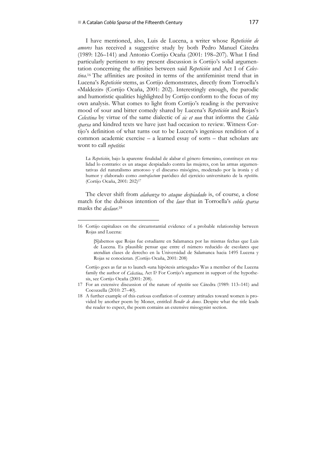1

I have mentioned, also, Luis de Lucena, a writer whose *Repetición de amores* has received a suggestive study by both Pedro Manuel Cátedra (1989: 126–141) and Antonio Cortijo Ocaña (2001: 198–207). What I find particularly pertinent to my present discussion is Cortijo's solid argumentation concerning the affinities between said *Repetición* and Act I of *Celestina*. 16 The affinities are posited in terms of the antifeminist trend that in Lucena's *Repetición* stems, as Cortijo demonstrates, directly from Torroella's «Maldezir» (Cortijo Ocaña, 2001: 202). Interestingly enough, the parodic and humoristic qualities highlighted by Cortijo conform to the focus of my own analysis. What comes to light from Cortijo's reading is the pervasive mood of sour and bitter comedy shared by Lucena's *Repetición* and Rojas's *Celestina* by virtue of the same dialectic of *sic et non* that informs the *Cobla sparsa* and kindred texts we have just had occasion to review. Witness Cortijo's definition of what turns out to be Lucena's ingenious rendition of a common academic exercise – a learned essay of sorts – that scholars are wont to call *repetitio*:

La *Repetición*, bajo la aparente finalidad de alabar el género femenino, constituye en realidad lo contrario: es un ataque despiadado contra las mujeres, con las armas argumentativas del naturalismo amoroso y el discurso misógino, moderado por la ironía y el humor y elaborado como *contrafactum* paródico del ejercicio universitario de la *repetitio*. (Cortijo Ocaña, 2001: 202)17

The clever shift from *alabanza* to *ataque despiadado* is, of course, a close match for the dubious intention of the *laor* that in Torroella's *cobla sparsa* masks the *deslaor*. 18

Cortijo goes as far as to launch «una hipótesis arriesgada:» Was a member of the Lucena family the author of *Celestina*, Act I? For Cortijo's argument in support of the hypothesis, see Cortijo Ocaña (2001: 208).

- 17 For an extensive discussion of the nature of *repetitio* see Cátedra (1989: 113–141) and Cocozzella (2010: 27–40).
- 18 A further example of this curious conflation of contrary attitudes toward women is provided by another poem by Moner, entitled *Bendir de dones*. Despite what the title leads the reader to expect, the poem contains an extensive misogynist section.

<sup>16</sup> Cortijo capitalizes on the circumstantial evidence of a probable relationship between Rojas and Lucena:

<sup>[</sup>S]abemos que Rojas fue estudiante en Salamanca por las mismas fechas que Luis de Lucena. Es plausible pensar que entre el número reducido de escolares que atendían clases de derecho en la Universidad de Salamanca hacia 1495 Lucena y Rojas se conocieran. (Cortijo Ocaña, 2001: 208)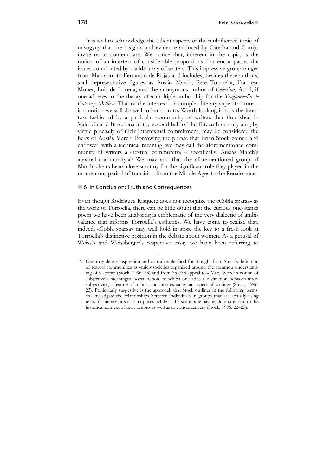It is well to acknowledge the salient aspects of the multifaceted topic of misogyny that the insights and evidence adduced by Cátedra and Cortijo invite us to contemplate. We notice that, inherent in the topic, is the notion of an intertext of considerable proportions that encompasses the issues contributed by a wide array of writers. This impressive group ranges from Marcabru to Fernando de Rojas and includes, besides these authors, such representative figures as Ausiàs March, Pere Torroella, Francesc Moner, Luis de Lucena, and the anonymous author of *Celestina*, Act I, if one adheres to the theory of a multiple authorship for the *Tragicomedia de Calisto y Melibea*. That of the intertext – a complex literary superstructure – is a notion we will do well to latch on to. Worth looking into is the intertext fashioned by a particular community of writers that flourished in València and Barcelona in the second half of the fifteenth century and, by virtue precisely of their intertextual commitment, may be considered the heirs of Ausiàs March. Borrowing the phrase that Brian Stock coined and endowed with a technical meaning, we may call the aforementioned community of writers a «textual community» – specifically, Ausiàs March's «textual community.»19 We may add that the aforementioned group of March's heirs bears close scrutiny for the significant role they played in the momentous period of transition from the Middle Ages to the Renaissance.

## ■ 6 In Conclusion: Truth and Consequences

Even though Rodríguez Risquete does not recognize the «Cobla sparsa» as the work of Torroella, there can be little doubt that the curious one-stanza poem we have been analyzing is emblematic of the very dialectic of ambivalence that informs Torroella's esthetics. We have come to realize that, indeed, «Cobla sparsa» may well hold in store the key to a fresh look at Torroella's distinctive position in the debate about women. As a perusal of Weiss's and Weissberger's respective essay we have been referring to

1

<sup>19</sup> One may derive inspiration and considerable food for thought from Stock's definition of textual communities as «microsocieties organized around the common understanding of a script» (Stock, 1996: 23) and from Stock's appeal to «[Max] Weber's notion of subjectively meaningful social action, to which one adds a distinction between intersubjectivity, a feature of minds, and intertextuality, an aspect of writing» (Stock, 1996: 23). Particularly suggestive is the approach that Stock outlines in the following terms: «to investigate the relationships between individuals in groups that are actually using texts for literary or social purposes, while at the same time paying close attention to the historical context of their actions as well as to consequences» (Stock, 1996: 22–23).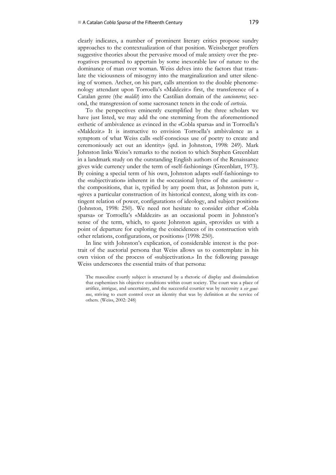clearly indicates, a number of prominent literary critics propose sundry approaches to the contextualization of that position. Weissberger proffers suggestive theories about the pervasive mood of male anxiety over the prerogatives presumed to appertain by some inexorable law of nature to the dominance of man over woman. Weiss delves into the factors that translate the viciousness of misogyny into the marginalization and utter silencing of women. Archer, on his part, calls attention to the double phenomenology attendant upon Torroella's «Maldezir:» first, the transference of a Catalan genre (the *maldit*) into the Castilian domain of the *cancioneros*; second, the transgression of some sacrosanct tenets in the code of *cortesia*.

To the perspectives eminently exemplified by the three scholars we have just listed, we may add the one stemming from the aforementioned esthetic of ambivalence as evinced in the «Cobla sparsa» and in Torroella's «Maldezir.» It is instructive to envision Torroella's ambivalence as a symptom of what Weiss calls «self-conscious use of poetry to create and ceremoniously act out an identity» (qtd. in Johnston, 1998: 249). Mark Johnston links Weiss's remarks to the notion to which Stephen Greenblatt in a landmark study on the outstanding English authors of the Renaissance gives wide currency under the term of «self-fashioning» (Greenblatt, 1973). By coining a special term of his own, Johnston adapts «self-fashioning» to the «subjectivation» inherent in the «occasional lyrics» of the *cancioneros* – the compositions, that is, typified by any poem that, as Johnston puts it, «gives a particular construction of its historical context, along with its contingent relation of power, configurations of ideology, and subject position» (Johnston, 1998: 250). We need not hesitate to consider either «Cobla sparsa» or Torroella's «Maldezir» as an occasional poem in Johnston's sense of the term, which, to quote Johnston again, «provides us with a point of departure for exploring the coincidences of its construction with other relations, configurations, or positions» (1998: 250).

In line with Johnston's explication, of considerable interest is the portrait of the auctorial persona that Weiss allows us to contemplate in his own vision of the process of «subjectivation.» In the following passage Weiss underscores the essential traits of that persona:

The masculine courtly subject is structured by a rhetoric of display and dissimulation that euphemizes his objective conditions within court society. The court was a place of artifice, intrigue, and uncertainty, and the successful courtier was by necessity a *vir geminus*, striving to exert control over an identity that was by definition at the service of others. (Weiss, 2002: 248)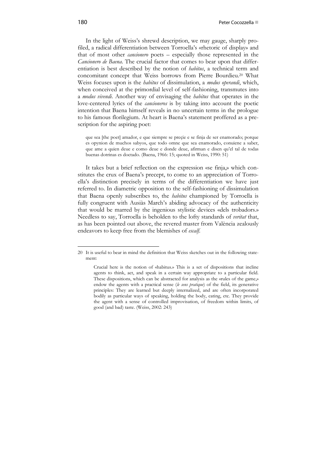In the light of Weiss's shrewd description, we may gauge, sharply profiled, a radical differentiation between Torroella's «rhetoric of display» and that of most other *cancionero* poets – especially those represented in the *Cancionero de Baena*. The crucial factor that comes to bear upon that differentiation is best described by the notion of *habitus*, a technical term and concomitant concept that Weiss borrows from Pierre Bourdieu.20 What Weiss focuses upon is the *habitus* of dissimulation, a *modus operandi*, which, when conceived at the primordial level of self-fashioning, transmutes into a *modus vivendi*. Another way of envisaging the *habitus* that operates in the love-centered lyrics of the *cancioneros* is by taking into account the poetic intention that Baena himself reveals in no uncertain terms in the prologue to his famous florilegium. At heart is Baena's statement proffered as a prescription for the aspiring poet:

que sea [the poet] amador, e que siempre se preçie e se finja de ser enamorado; porque es opynion de muchos sabyos, que todo omne que sea enamorado, conuiene a saber, que ame a quien deue e como deue e donde deue, afirman e disen qu'el tal de todas buenas dotrinas es doctado. (Baena, 1966: 15; quoted in Weiss, 1990: 51)

It takes but a brief reflection on the expression «se finja,» which constitutes the crux of Baena's precept, to come to an appreciation of Torroella's distinction precisely in terms of the differentiation we have just referred to. In diametric opposition to the self-fashioning of dissimulation that Baena openly subscribes to, the *habitus* championed by Torroella is fully congruent with Ausiàs March's abiding advocacy of the authenticity that would be marred by the ingenious stylistic devices «dels trobadors.» Needless to say, Torroella is beholden to the lofty standards of *veritat* that, as has been pointed out above, the revered master from València zealously endeavors to keep free from the blemishes of *escalf*.

1

<sup>20</sup> It is useful to bear in mind the definition that Weiss sketches out in the following statement:

Crucial here is the notion of «habitus.» This is a set of dispositions that incline agents to think, act, and speak in a certain way appropriate to a particular field. These dispositions, which can be abstracted for analysis as the «rules of the game,» endow the agents with a practical sense (*le sens pratique*) of the field, its generative principles: They are learned but deeply internalized, and are often incorporated bodily as particular ways of speaking, holding the body, eating, etc. They provide the agent with a sense of controlled improvisation, of freedom within limits, of good (and bad) taste. (Weiss, 2002: 243)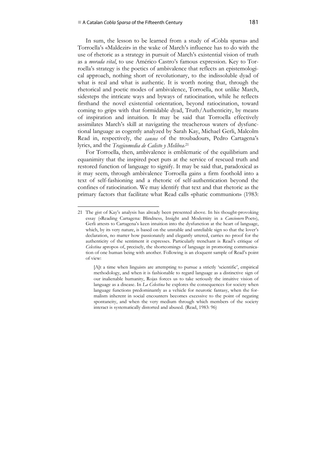#### ■ A Catalan *Cobla Sparsa* of the Fifteenth Century **181**

1

In sum, the lesson to be learned from a study of «Cobla sparsa» and Torroella's «Maldezir» in the wake of March's influence has to do with the use of rhetoric as a strategy in pursuit of March's existential vision of truth as a *morada vital*, to use Américo Castro's famous expression. Key to Torroella's strategy is the poetics of ambivalence that reflects an epistemological approach, nothing short of revolutionary, to the indissoluble dyad of what is real and what is authentic. It is worth noting that, through the rhetorical and poetic modes of ambivalence, Torroella, not unlike March, sidesteps the intricate ways and byways of ratiocination, while he reflects firsthand the novel existential orientation, beyond ratiocination, toward coming to grips with that formidable dyad, Truth/Authenticity, by means of inspiration and intuition. It may be said that Torroella effectively assimilates March's skill at navigating the treacherous waters of dysfunctional language as cogently analyzed by Sarah Kay, Michael Gerli, Malcolm Read in, respectively, the *cansos* of the troubadours, Pedro Cartagena's lyrics, and the *Tragicomedia de Calisto y Melibea*. 21

For Torroella, then, ambivalence is emblematic of the equilibrium and equanimity that the inspired poet puts at the service of rescued truth and restored function of language to signify. It may be said that, paradoxical as it may seem, through ambivalence Torroella gains a firm foothold into a text of self-fashioning and a rhetoric of self-authentication beyond the confines of ratiocination. We may identify that text and that rhetoric as the primary factors that facilitate what Read calls «phatic communion» (1983:

<sup>21</sup> The gist of Kay's analysis has already been presented above. In his thought-provoking essay («Reading Cartagena: Blindness, Insight and Modernity in a *Cancionero* Poet»), Gerli attests to Cartagena's keen intuition into the dysfunction at the heart of language, which, by its very nature, is based on the unstable and unreliable sign so that the lover's declaration, no matter how passionately and elegantly uttered, carries no proof for the authenticity of the sentiment it expresses. Particularly trenchant is Read's critique of *Celestina* apropos of, precisely, the shortcomings of language in promoting communication of one human being with another. Following is an eloquent sample of Read's point of view:

<sup>[</sup>A]t a time when linguists are attempting to pursue a strictly 'scientific', empirical methodology, and when it is fashionable to regard language as a distinctive sign of our inalienable humanity, Rojas forces us to take seriously the intuitive vision of language as a disease. In *La Celestina* he explores the consequences for society when language functions predominantly as a vehicle for neurotic fantasy, when the formalism inherent in social encounters becomes excessive to the point of negating spontaneity, and when the very medium through which members of the society interact is systematically distorted and abused. (Read, 1983: 96)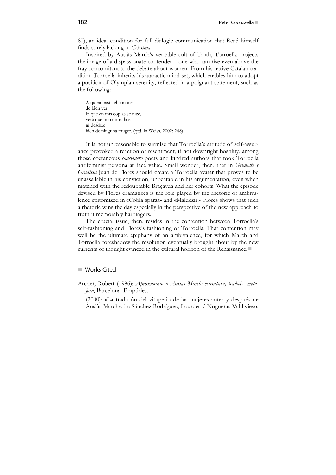80), an ideal condition for full dialogic communication that Read himself finds sorely lacking in *Celestina*.

Inspired by Ausiàs March's veritable cult of Truth, Torroella projects the image of a dispassionate contender – one who can rise even above the fray concomitant to the debate about women. From his native Catalan tradition Torroella inherits his ataractic mind-set, which enables him to adopt a position of Olympian serenity, reflected in a poignant statement, such as the following:

A quien basta el conocer de bien ver lo que en mis coplas se dize, verá que no contradice ni desdize bien de ninguna muger. (qtd. in Weiss, 2002: 248)

It is not unreasonable to surmise that Torroella's attitude of self-assurance provoked a reaction of resentment, if not downright hostility, among those coetaneous *cancionero* poets and kindred authors that took Torroella antifeminist persona at face value. Small wonder, then, that in *Grimalte y Gradissa* Juan de Flores should create a Torroella avatar that proves to be unassailable in his conviction, unbeatable in his argumentation, even when matched with the redoubtable Braçayda and her cohorts. What the episode devised by Flores dramatizes is the role played by the rhetoric of ambivalence epitomized in «Cobla sparsa» and «Maldezir.» Flores shows that such a rhetoric wins the day especially in the perspective of the new approach to truth it memorably harbingers.

The crucial issue, then, resides in the contention between Torroella's self-fashioning and Flores's fashioning of Torroella. That contention may well be the ultimate epiphany of an ambivalence, for which March and Torroella foreshadow the resolution eventually brought about by the new currents of thought evinced in the cultural horizon of the Renaissance.

#### ■ Works Cited

- Archer, Robert (1996): *Aproximació a Ausiàs March: estructura, tradició, metàfora*, Barcelona: Empúries.
- (2000): «La tradición del vituperio de las mujeres antes y después de Ausiàs March», in: Sánchez Rodríguez, Lourdes / Nogueras Valdivieso,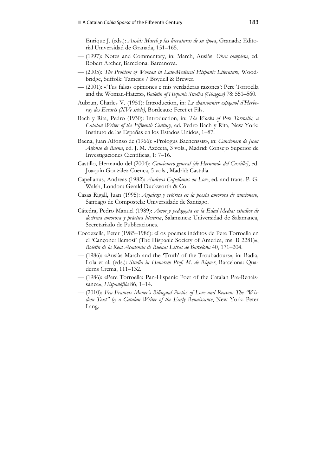Enrique J. (eds.): *Ausiàs March y las literaturas de su época*, Granada: Editorial Universidad de Granada, 151–165.

- (1997): Notes and Commentary, in: March, Ausiàs: *Obra completa*, ed. Robert Archer, Barcelona: Barcanova.
- (2005): *The Problem of Woman in Late-Medieval Hispanic Literature*, Woodbridge, Suffolk: Tamesis / Boydell & Brewer.
- (2001): «'Tus falsas opiniones e mis verdaderas razones': Pere Torroella and the Woman-Haters», *Bulletin of Hispanic Studies (Glasgow)* 78: 551–560.
- Aubrun, Charles V. (1951): Introduction, in: *Le chansonnier espagnol d'Herberay des Essarts (XVe siècle)*, Bordeaux: Feret et Fils.
- Bach y Rita, Pedro (1930): Introduction, in: *The Works of Pere Torroella, a Catalan Writer of the Fifteenth Century*, ed. Pedro Bach y Rita, New York: Instituto de las Españas en los Estados Unidos, 1–87.
- Baena, Juan Alfonso de (1966): «Prologus Baenenssis», in: *Cancionero de Juan Alfonso de Baena*, ed. J. M. Azéceta, 3 vols., Madrid: Consejo Superior de Investigaciones Científicas, 1: 7–16.
- Castillo, Hernando del (2004): *Cancionero general [de Hernando del Castillo]*, ed. Joaquín González Cuenca, 5 vols., Madrid: Castalia.
- Capellanus, Andreas (1982): *Andreas Capellanus on Love*, ed. and trans. P. G. Walsh, London: Gerald Duckworth & Co.
- Casas Rigall, Juan (1995): *Agudeza y retórica en la poesía amorosa de cancionero*, Santiago de Compostela: Universidade de Santiago.
- Cátedra, Pedro Manuel (1989): *Amor y pedagogía en la Edad Media: estudios de doctrina amorosa y práctica literaria*, Salamanca: Universidad de Salamanca, Secretariado de Publicaciones.
- Cocozzella, Peter (1985–1986): «Los poemas inéditos de Pere Torroella en el 'Cançoner llemosí' (The Hispanic Society of America, ms. B 2281)», *Boletín de la Real Academia de Buenas Letras de Barcelona* 40, 171–204.
- (1986): «Ausiàs March and the 'Truth' of the Troubadours», in: Badia, Lola et al. (eds.): *Studia in Honorem Prof. M. de Riquer*, Barcelona: Quaderns Crema, 111–132.
- (1986): «Pere Torroella: Pan-Hispanic Poet of the Catalan Pre-Renaissance», *Hispanófila* 86, 1–14.
- (2010): *Fra Francesc Moner's Bilingual Poetics of Love and Reason: The "Wisdom Text" by a Catalan Writer of the Early Renaissance*, New York: Peter Lang.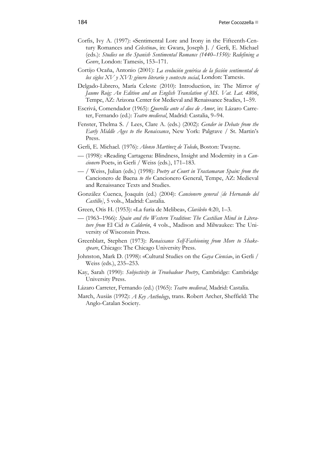- Corfis, Ivy A. (1997): «Sentimental Lore and Irony in the Fifteenth-Century Romances and *Celestina*», in: Gwara, Joseph J. / Gerli, E. Michael (eds.): *Studies on the Spanish Sentimental Romance (1440–1550): Redefining a Genre*, London: Tamesis, 153–171.
- Cortijo Ocaña, Antonio (2001): *La evolución genérica de la ficción sentimental de los siglos XV y XVI: género literario y contexto social*, London: Tamesis.
- Delgado-Librero, María Celeste (2010): Introduction, in: The Mirror *of Jaume Roig: An Edition and an English Translation of MS. Vat. Lat. 4806*, Tempe, AZ: Arizona Center for Medieval and Renaissance Studies, 1–59.
- Escrivá, Comendador (1965): *Querella ante el dios de Amor*, in: Lázaro Carreter, Fernando (ed.): *Teatro medieval*, Madrid: Castalia, 9–94.
- Fenster, Thelma S. / Lees, Clare A. (eds.) (2002): *Gender in Debate from the Early Middle Ages to the Renaissance*, New York: Palgrave / St. Martin's Press.
- Gerli, E. Michael. (1976): *Alonso Martínez de Toledo*, Boston: Twayne.
- (1998): «Reading Cartagena: Blindness, Insight and Modernity in a *Cancionero* Poet», in Gerli / Weiss (eds.), 171–183.
- / Weiss, Julian (eds.) (1998): *Poetry at Court in Trastamaran Spain: from the* Cancionero de Baena *to the* Cancionero General, Tempe, AZ: Medieval and Renaissance Texts and Studies.
- González Cuenca, Joaquín (ed.) (2004): *Cancionero general [de Hernando del Castillo]*, 5 vols., Madrid: Castalia.
- Green, Otis H. (1953): «La furia de Melibea», *Clavileño* 4:20, 1–3.
- (1963–1966): *Spain and the Western Tradition: The Castilian Mind in Literature from* El Cid *to Calderón*, 4 vols., Madison and Milwaukee: The University of Wisconsin Press.
- Greenblatt, Stephen (1973): *Renaissance Self-Fashioning from More to Shakespeare*, Chicago: The Chicago University Press.
- Johnston, Mark D. (1998): «Cultural Studies on the *Gaya Ciencia*», in Gerli / Weiss (eds.), 235–253.
- Kay, Sarah (1990): *Subjectivity in Troubadour Poetry*, Cambridge: Cambridge University Press.
- Lázaro Carreter, Fernando (ed.) (1965): *Teatro medieval*, Madrid: Castalia.
- March, Ausiàs (1992): *A Key Anthology*, trans. Robert Archer, Sheffield: The Anglo-Catalan Society.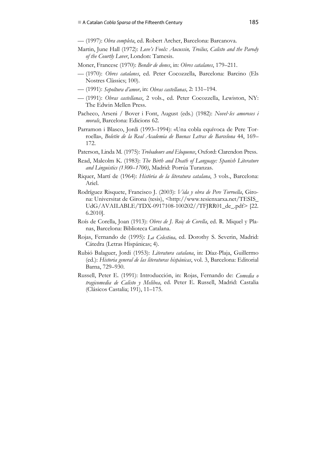— (1997): *Obra completa*, ed. Robert Archer, Barcelona: Barcanova.

- Martin, June Hall (1972): *Love's Fools: Aucussin, Troilus, Calisto and the Parody of the Courtly Lover*, London: Tamesis.
- Moner, Francesc (1970): *Bendir de dones*, in: *Obres catalanes*, 179–211.
- (1970): *Obres catalanes*, ed. Peter Cocozzella, Barcelona: Barcino (Els Nostres Clàssics; 100).
- (1991): *Sepoltura d'amor*, in: *Obras castellanas*, 2: 131–194.
- (1991): *Obras castellanas*, 2 vols., ed. Peter Cocozzella, Lewiston, NY: The Edwin Mellen Press.
- Pacheco, Arseni / Bover i Font, August (eds.) (1982): *Novel∙les amoroses i morals*, Barcelona: Edicions 62.
- Parramon i Blasco, Jordi (1993–1994): «Una cobla equívoca de Pere Torroella», *Boletín de la Real Academia de Buenas Letras de Barcelona* 44, 169– 172.
- Paterson, Linda M. (1975): *Trobadours and Eloquence*, Oxford: Clarendon Press.
- Read, Malcolm K. (1983): *The Birth and Death of Language: Spanish Literature and Linguistics (1300–1700)*, Madrid: Porrúa Turanzas.
- Riquer, Martí de (1964): *Història de la literatura catalana*, 3 vols., Barcelona: Ariel.
- Rodríguez Risquete, Francisco J. (2003): *Vida y obra de Pere Torroella*, Girona: Universitat de Girona (tesis), <http://www.tesienxarxa.net/TESIS\_ UdG/AVAILABLE/TDX-0917108-100202//TFJRR01\_de\_.pdf> [22. 6.2010].
- Roís de Corella, Joan (1913): *Obres de J. Roiç de Corella*, ed. R. Miquel y Planas, Barcelona: Biblioteca Catalana.
- Rojas, Fernando de (1995): *La Celestina*, ed. Dorothy S. Severin, Madrid: Cátedra (Letras Hispánicas; 4).
- Rubió Balaguer, Jordi (1953): *Literatura catalana*, in: Díaz-Plaja, Guillermo (ed.): *Historia general de las literaturas hispánicas*, vol. 3, Barcelona: Editorial Barna, 729–930.
- Russell, Peter E. (1991): Introducción, in: Rojas, Fernando de: *Comedia o tragicomedia de Calisto y Melibea*, ed. Peter E. Russell, Madrid: Castalia (Clásicos Castalia; 191), 11–175.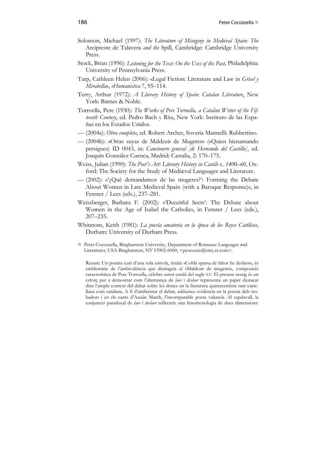- Solomon, Michael (1997): *The Literature of Misogyny in Medieval Spain: The* Arcipreste de Talavera *and the* Spill, Cambridge: Cambridge University Press.
- Stock, Brian (1996): *Listening for the Text: On the Uses of the Past*, Philadelphia: University of Pennsylvania Press.
- Tarp, Cathleen Helen (2006): «Legal Fiction: Literature and Law in *Grisel y Mirabella*», *eHumanistica* 7, 95–114.
- Terry, Arthur (1972): *A Literary History of Spain: Catalan Literature*, New York: Barnes & Noble.
- Torroella, Pere (1930): *The Works of Pere Torroella, a Catalan Writer of the Fifteenth Century*, ed. Pedro Bach y Rita, New York: Instituto de las Españas en los Estados Unidos.
- (2004a): *Obra completa*, ed. Robert Archer, Soveria Mannelli: Rubbettino.
- (2004b): «Otras suyas de Maldezir de Mugeres» («Quien bienamando persigue») ID 0043, in: *Cancionero general [de Hernando del Castillo]*, ed. Joaquín González Cuenca, Madrid: Castalia, 2: 170–175.
- Weiss, Julian (1990): *The Poet's Art: Literary History in Castile* c. *1400–60*, Oxford: The Society for the Study of Mediæval Languages and Literature.
- (2002): «'¿Qué demandamos de las mugeres?': Forming the Debate About Women in Late Medieval Spain (with a Baroque Response)», in Fenster / Lees (eds.), 237–281.
- Weissberger, Barbara F. (2002): «'Deceitful Sects': The Debate about Women in the Age of Isabel the Catholic», in Fenster / Lees (eds.), 207–235.
- Whinnom, Keith (1981): *La poesía amatoria en la época de los Reyes Católicos*, Durham: University of Durham Press.
- **Peter Cocozzella, Binghamton University, Department of Romance Languages and** Literatures, USA-Binghamton, NY 13902-6000, <pcocozze@stny.rr.com>.

Resum: Un poema curt d'una sola estrofa, titulat «Cobla sparsa de lahor he deslaor», és emblemàtic de l'ambivalència que distingeix el «Maldezir de mugeres», composició característica de Pere Torroella, cèlebre autor català del segle XV. El present assaig és un esforç per a demostrar com l'alternança de *laor* i *deslaor* representa un paper destacat dins l'ample context del debat sobre les dones en la literatura quatrecentista tant castellana com catalana. A fi d'ambientar el debat, addueixo evidència en la poesia dels trobadors i en els cants d'Ausiàs March, l'incomparable poeta valencià. Al capdavall, la conjunció paradoxal de *laor* i *deslaor* reflecteix una fenomenologia de dues dimensions: